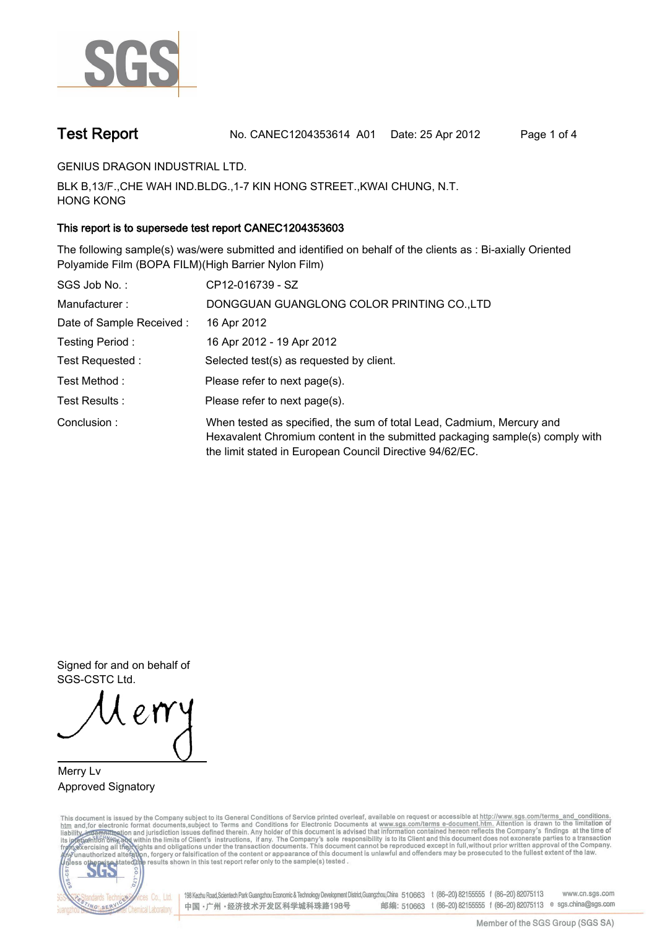

**Test Report. No. CANEC1204353614 A01 Date: 25 Apr 2012. Page 1 of 4.**

**GENIUS DRAGON INDUSTRIAL LTD..**

**BLK B,13/F.,CHE WAH IND.BLDG.,1-7 KIN HONG STREET.,KWAI CHUNG, N.T. HONG KONG.**

## **This report is to supersede test report CANEC1204353603.**

**The following sample(s) was/were submitted and identified on behalf of the clients as : Bi-axially Oriented Polyamide Film (BOPA FILM)(High Barrier Nylon Film).**

| SGS Job No.:             | CP12-016739 - SZ                                                                                                                                                                                                  |
|--------------------------|-------------------------------------------------------------------------------------------------------------------------------------------------------------------------------------------------------------------|
| Manufacturer:            | DONGGUAN GUANGLONG COLOR PRINTING CO.,LTD                                                                                                                                                                         |
| Date of Sample Received: | 16 Apr 2012                                                                                                                                                                                                       |
| Testing Period:          | 16 Apr 2012 - 19 Apr 2012                                                                                                                                                                                         |
| Test Requested :         | Selected test(s) as requested by client.                                                                                                                                                                          |
| Test Method :            | Please refer to next page(s).                                                                                                                                                                                     |
| Test Results :           | Please refer to next page(s).                                                                                                                                                                                     |
| Conclusion:              | When tested as specified, the sum of total Lead, Cadmium, Mercury and<br>Hexavalent Chromium content in the submitted packaging sample(s) comply with<br>the limit stated in European Council Directive 94/62/EC. |

**Signed for and on behalf of SGS-CSTC Ltd..**

**Merry Lv. Approved Signatory.**

This document is issued by the Company subject to its General Conditions of Service printed overleaf, available on request or accessible at http://www.sgs.com/terms\_and\_conditions.<br>htm\_and,for electronic format documents,s



198 Kezhu Road,Scientech Park Guangzhou Economic & Technology Development District,Guangzhou,China 510663 t (86-20) 82155555 f (86-20) 82075113 www.cn.sgs.com 邮编: 510663 t (86-20) 82155555 f (86-20) 82075113 e sgs.china@sgs.com 中国·广州·经济技术开发区科学城科珠路198号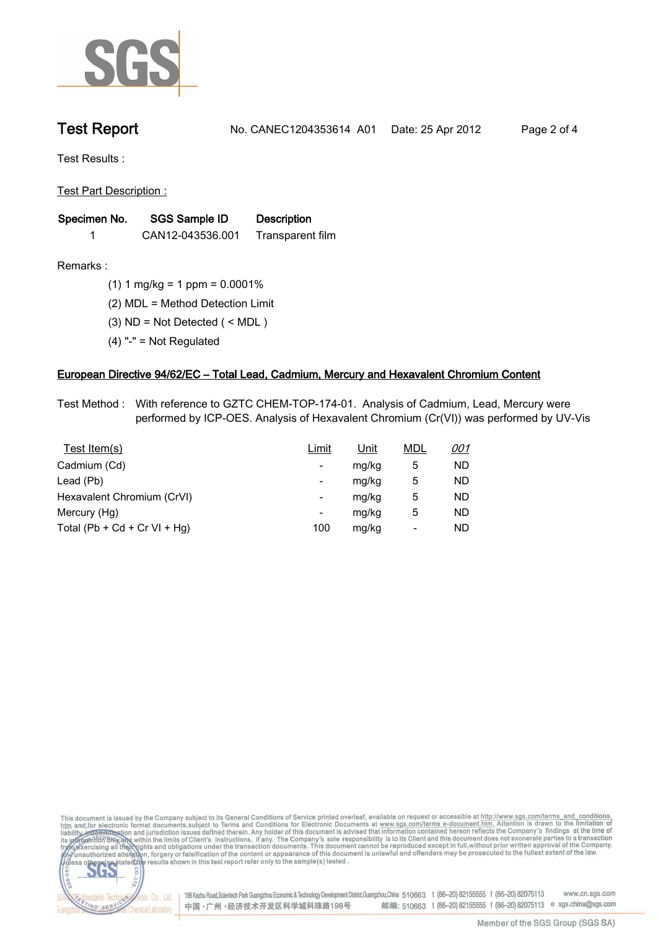

**Test Report. No. CANEC1204353614 A01 Date: 25 Apr 2012. Page 2 of 4.**

**Test Results :.**

**Test Part Description :.**

| Specimen No. | <b>SGS Sample ID</b> | <b>Description</b> |  |
|--------------|----------------------|--------------------|--|
|              | CAN12-043536.001     | Transparent film   |  |

NG SER

Chemical Laboratory.

**Remarks :.(1) 1 mg/kg = 1 ppm = 0.0001%.**

**(2) MDL = Method Detection Limit.**

- **(3) ND = Not Detected ( < MDL ).**
- **(4) "-" = Not Regulated.**

## **European Directive 94/62/EC – Total Lead, Cadmium, Mercury and Hexavalent Chromium Content.**

**Test Method :. With reference to GZTC CHEM-TOP-174-01. Analysis of Cadmium, Lead, Mercury were performed by ICP-OES. Analysis of Hexavalent Chromium (Cr(VI)) was performed by UV-Vis.**

| Test Item(s)                 | Limit | <u>Unit</u> | <b>MDL</b> | <u>001</u> |
|------------------------------|-------|-------------|------------|------------|
| Cadmium (Cd)                 | -     | mg/kg       | 5          | ND         |
| Lead (Pb)                    | -     | mg/kg       | 5          | ND         |
| Hexavalent Chromium (CrVI)   | -     | mg/kg       | 5          | ND         |
| Mercury (Hg)                 | -     | mg/kg       | 5          | ND         |
| Total (Pb + Cd + Cr VI + Hg) | 100   | mg/kg       | -          | ND         |



中国·广州·经济技术开发区科学城科珠路198号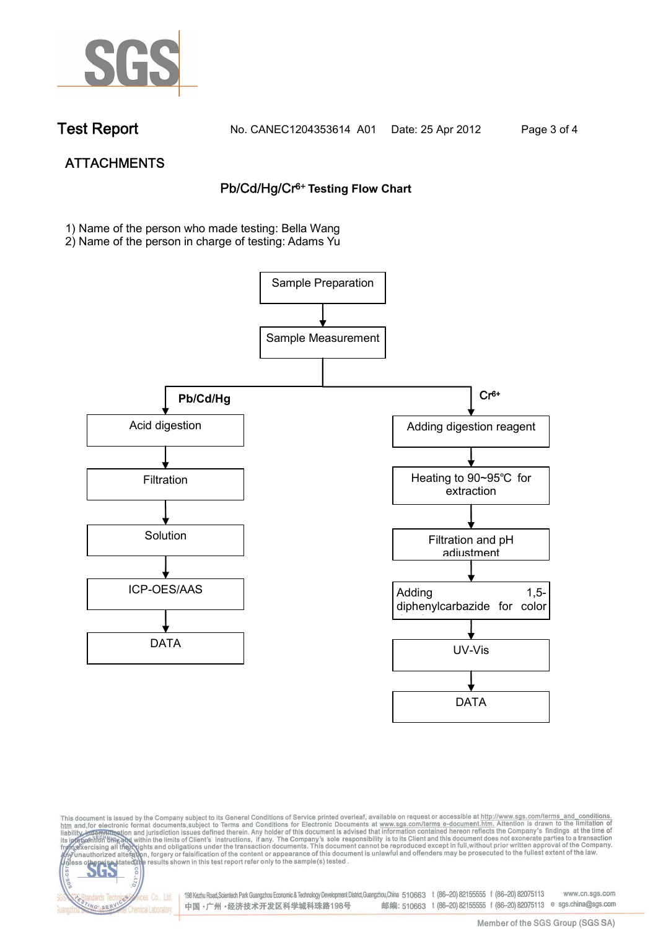

dards Teo

NG SER

Chemical Laboratory.

**Test Report. No. CANEC1204353614 A01 Date: 25 Apr 2012. Page 3 of 4.**

# **ATTACHMENTS Pb/Cd/Hg/Cr6+ Testing Flow Chart**

**1)** Name of the person who made testing: Bella Wang

2) Name of the person in charge of testing: Adams Yu



This document is issued by the Company subject to its General Conditions of Service printed overleaf, available on request or accessible at http://www.sgs.com/terms\_and\_conditions.<br>It and for electronic format documents,su **202** 

> 198 Kezhu Road,Scientech Park Guangzhou Economic & Technology Development District,Guangzhou,China 510663 t (86-20) 82155555 f (86-20) 82075113 www.cn.sgs.com Co., Ltd. 邮编: 510663 t (86-20) 82155555 f (86-20) 82075113 e sgs.china@sgs.com 中国·广州·经济技术开发区科学城科珠路198号